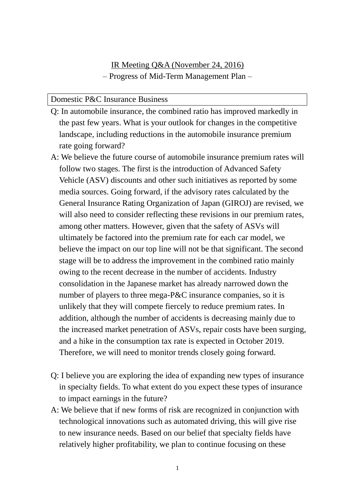IR Meeting Q&A (November 24, 2016) – Progress of Mid-Term Management Plan –

## Domestic P&C Insurance Business

- Q: In automobile insurance, the combined ratio has improved markedly in the past few years. What is your outlook for changes in the competitive landscape, including reductions in the automobile insurance premium rate going forward?
- A: We believe the future course of automobile insurance premium rates will follow two stages. The first is the introduction of Advanced Safety Vehicle (ASV) discounts and other such initiatives as reported by some media sources. Going forward, if the advisory rates calculated by the General Insurance Rating Organization of Japan (GIROJ) are revised, we will also need to consider reflecting these revisions in our premium rates, among other matters. However, given that the safety of ASVs will ultimately be factored into the premium rate for each car model, we believe the impact on our top line will not be that significant. The second stage will be to address the improvement in the combined ratio mainly owing to the recent decrease in the number of accidents. Industry consolidation in the Japanese market has already narrowed down the number of players to three mega-P&C insurance companies, so it is unlikely that they will compete fiercely to reduce premium rates. In addition, although the number of accidents is decreasing mainly due to the increased market penetration of ASVs, repair costs have been surging, and a hike in the consumption tax rate is expected in October 2019. Therefore, we will need to monitor trends closely going forward.
- Q: I believe you are exploring the idea of expanding new types of insurance in specialty fields. To what extent do you expect these types of insurance to impact earnings in the future?
- A: We believe that if new forms of risk are recognized in conjunction with technological innovations such as automated driving, this will give rise to new insurance needs. Based on our belief that specialty fields have relatively higher profitability, we plan to continue focusing on these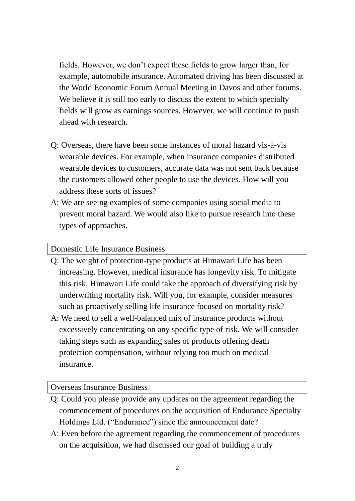fields. However, we don't expect these fields to grow larger than, for example, automobile insurance. Automated driving has been discussed at the World Economic Forum Annual Meeting in Davos and other forums. We believe it is still too early to discuss the extent to which specialty fields will grow as earnings sources. However, we will continue to push ahead with research.

- Q: Overseas, there have been some instances of moral hazard vis-à-vis wearable devices. For example, when insurance companies distributed wearable devices to customers, accurate data was not sent back because the customers allowed other people to use the devices. How will you address these sorts of issues?
- A: We are seeing examples of some companies using social media to prevent moral hazard. We would also like to pursue research into these types of approaches.

Domestic Life Insurance Business

- Q: The weight of protection-type products at Himawari Life has been increasing. However, medical insurance has longevity risk. To mitigate this risk, Himawari Life could take the approach of diversifying risk by underwriting mortality risk. Will you, for example, consider measures such as proactively selling life insurance focused on mortality risk?
- A: We need to sell a well-balanced mix of insurance products without excessively concentrating on any specific type of risk. We will consider taking steps such as expanding sales of products offering death protection compensation, without relying too much on medical insurance.

## Overseas Insurance Business

- Q: Could you please provide any updates on the agreement regarding the commencement of procedures on the acquisition of Endurance Specialty Holdings Ltd. ("Endurance") since the announcement date?
- A: Even before the agreement regarding the commencement of procedures on the acquisition, we had discussed our goal of building a truly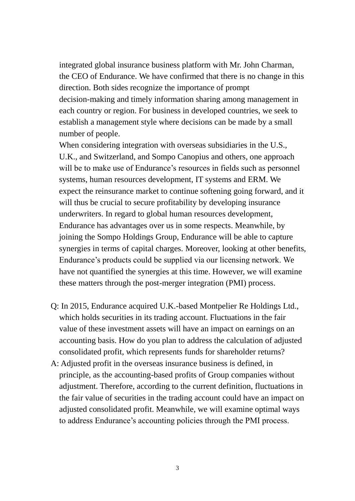integrated global insurance business platform with Mr. John Charman, the CEO of Endurance. We have confirmed that there is no change in this direction. Both sides recognize the importance of prompt decision-making and timely information sharing among management in each country or region. For business in developed countries, we seek to establish a management style where decisions can be made by a small number of people.

When considering integration with overseas subsidiaries in the U.S., U.K., and Switzerland, and Sompo Canopius and others, one approach will be to make use of Endurance's resources in fields such as personnel systems, human resources development, IT systems and ERM. We expect the reinsurance market to continue softening going forward, and it will thus be crucial to secure profitability by developing insurance underwriters. In regard to global human resources development, Endurance has advantages over us in some respects. Meanwhile, by joining the Sompo Holdings Group, Endurance will be able to capture synergies in terms of capital charges. Moreover, looking at other benefits, Endurance's products could be supplied via our licensing network. We have not quantified the synergies at this time. However, we will examine these matters through the post-merger integration (PMI) process.

- Q: In 2015, Endurance acquired U.K.-based Montpelier Re Holdings Ltd., which holds securities in its trading account. Fluctuations in the fair value of these investment assets will have an impact on earnings on an accounting basis. How do you plan to address the calculation of adjusted consolidated profit, which represents funds for shareholder returns?
- A: Adjusted profit in the overseas insurance business is defined, in principle, as the accounting-based profits of Group companies without adjustment. Therefore, according to the current definition, fluctuations in the fair value of securities in the trading account could have an impact on adjusted consolidated profit. Meanwhile, we will examine optimal ways to address Endurance's accounting policies through the PMI process.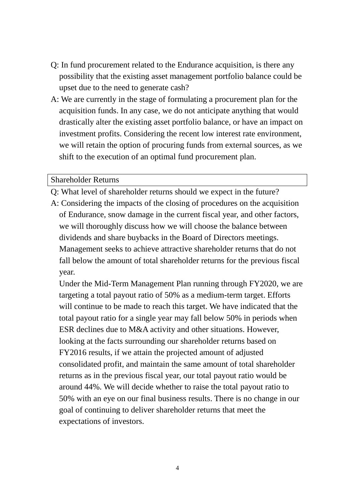- Q: In fund procurement related to the Endurance acquisition, is there any possibility that the existing asset management portfolio balance could be upset due to the need to generate cash?
- A: We are currently in the stage of formulating a procurement plan for the acquisition funds. In any case, we do not anticipate anything that would drastically alter the existing asset portfolio balance, or have an impact on investment profits. Considering the recent low interest rate environment, we will retain the option of procuring funds from external sources, as we shift to the execution of an optimal fund procurement plan.

## Shareholder Returns

- Q: What level of shareholder returns should we expect in the future?
- A: Considering the impacts of the closing of procedures on the acquisition of Endurance, snow damage in the current fiscal year, and other factors, we will thoroughly discuss how we will choose the balance between dividends and share buybacks in the Board of Directors meetings. Management seeks to achieve attractive shareholder returns that do not fall below the amount of total shareholder returns for the previous fiscal year.

Under the Mid-Term Management Plan running through FY2020, we are targeting a total payout ratio of 50% as a medium-term target. Efforts will continue to be made to reach this target. We have indicated that the total payout ratio for a single year may fall below 50% in periods when ESR declines due to M&A activity and other situations. However, looking at the facts surrounding our shareholder returns based on FY2016 results, if we attain the projected amount of adjusted consolidated profit, and maintain the same amount of total shareholder returns as in the previous fiscal year, our total payout ratio would be around 44%. We will decide whether to raise the total payout ratio to 50% with an eye on our final business results. There is no change in our goal of continuing to deliver shareholder returns that meet the expectations of investors.